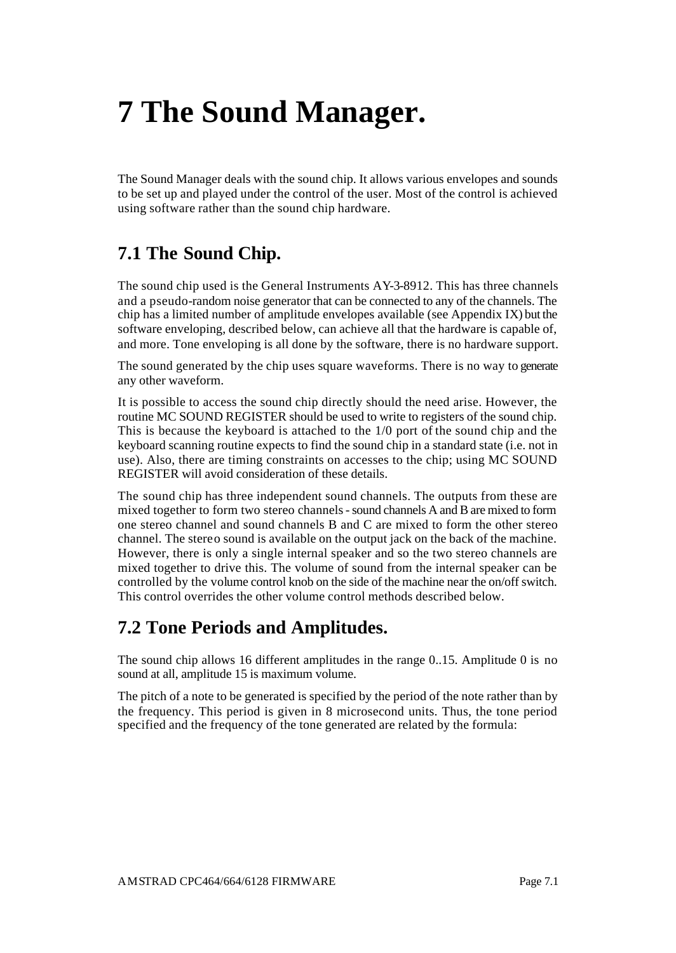# **7 The Sound Manager.**

The Sound Manager deals with the sound chip. It allows various envelopes and sounds to be set up and played under the control of the user. Most of the control is achieved using software rather than the sound chip hardware.

### **7.1 The Sound Chip.**

The sound chip used is the General Instruments AY-3-8912. This has three channels and a pseudo-random noise generator that can be connected to any of the channels. The chip has a limited number of amplitude envelopes available (see Appendix IX) but the software enveloping, described below, can achieve all that the hardware is capable of, and more. Tone enveloping is all done by the software, there is no hardware support.

The sound generated by the chip uses square waveforms. There is no way to generate any other waveform.

It is possible to access the sound chip directly should the need arise. However, the routine MC SOUND REGISTER should be used to write to registers of the sound chip. This is because the keyboard is attached to the 1/0 port of the sound chip and the keyboard scanning routine expects to find the sound chip in a standard state (i.e. not in use). Also, there are timing constraints on accesses to the chip; using MC SOUND REGISTER will avoid consideration of these details.

The sound chip has three independent sound channels. The outputs from these are mixed together to form two stereo channels - sound channels A and B are mixed to form one stereo channel and sound channels B and C are mixed to form the other stereo channel. The stereo sound is available on the output jack on the back of the machine. However, there is only a single internal speaker and so the two stereo channels are mixed together to drive this. The volume of sound from the internal speaker can be controlled by the volume control knob on the side of the machine near the on/off switch. This control overrides the other volume control methods described below.

### **7.2 Tone Periods and Amplitudes.**

The sound chip allows 16 different amplitudes in the range 0..15. Amplitude 0 is no sound at all, amplitude 15 is maximum volume.

The pitch of a note to be generated is specified by the period of the note rather than by the frequency. This period is given in 8 microsecond units. Thus, the tone period specified and the frequency of the tone generated are related by the formula: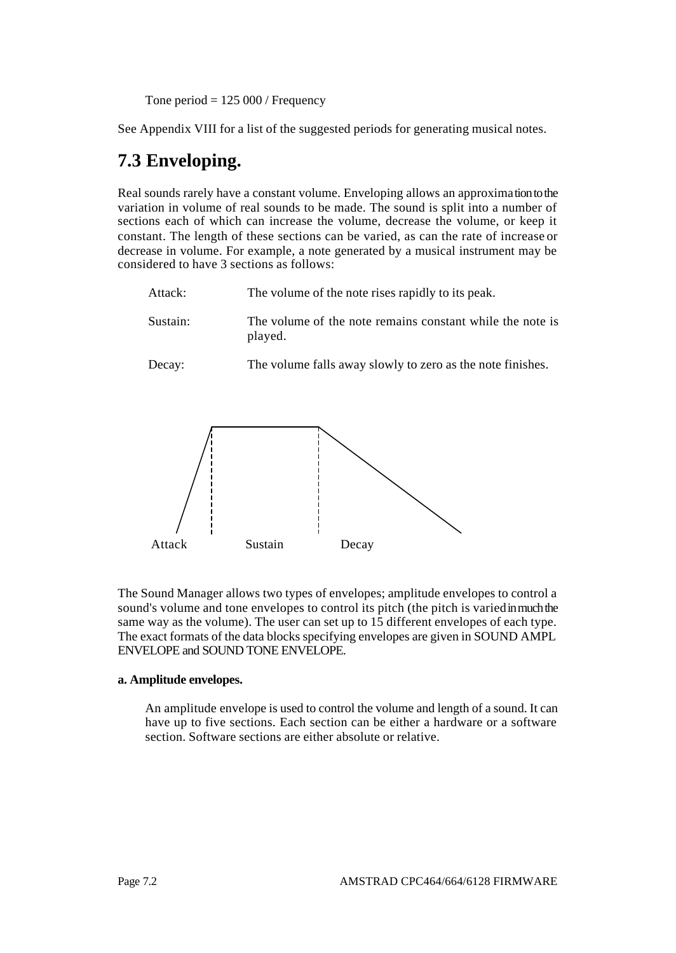Tone period  $= 125000$  / Frequency

See Appendix VIII for a list of the suggested periods for generating musical notes.

### **7.3 Enveloping.**

Real sounds rarely have a constant volume. Enveloping allows an approximation to the variation in volume of real sounds to be made. The sound is split into a number of sections each of which can increase the volume, decrease the volume, or keep it constant. The length of these sections can be varied, as can the rate of increase or decrease in volume. For example, a note generated by a musical instrument may be considered to have 3 sections as follows:

| Attack:  | The volume of the note rises rapidly to its peak.                    |
|----------|----------------------------------------------------------------------|
| Sustain: | The volume of the note remains constant while the note is<br>played. |
| Decay:   | The volume falls away slowly to zero as the note finishes.           |



The Sound Manager allows two types of envelopes; amplitude envelopes to control a sound's volume and tone envelopes to control its pitch (the pitch is varied in much the same way as the volume). The user can set up to 15 different envelopes of each type. The exact formats of the data blocks specifying envelopes are given in SOUND AMPL ENVELOPE and SOUND TONE ENVELOPE.

#### **a. Amplitude envelopes.**

An amplitude envelope is used to control the volume and length of a sound. It can have up to five sections. Each section can be either a hardware or a software section. Software sections are either absolute or relative.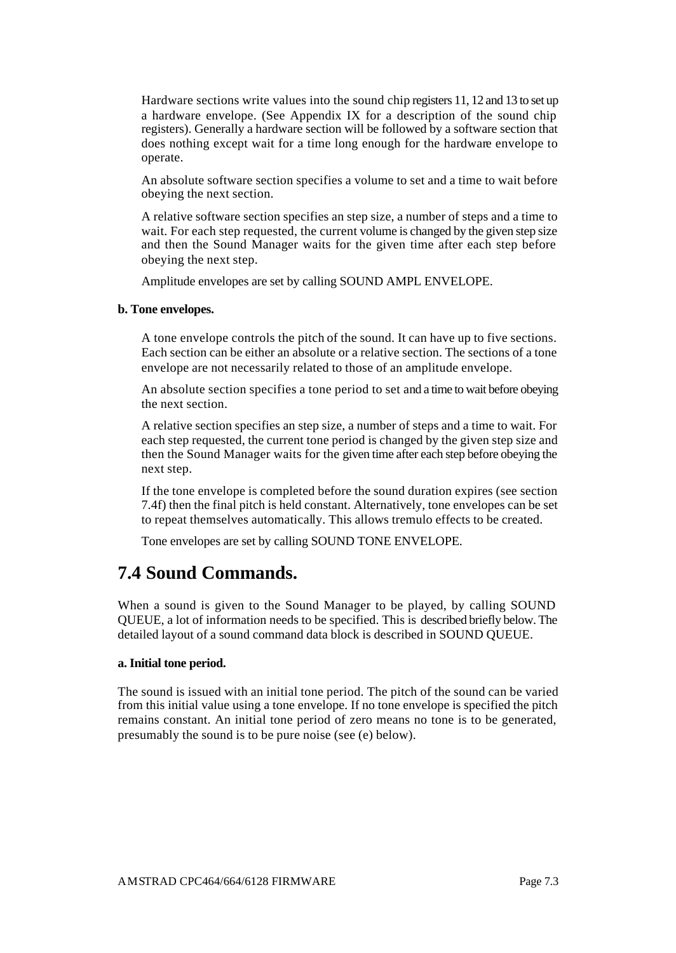Hardware sections write values into the sound chip registers 11, 12 and 13 to set up a hardware envelope. (See Appendix IX for a description of the sound chip registers). Generally a hardware section will be followed by a software section that does nothing except wait for a time long enough for the hardware envelope to operate.

An absolute software section specifies a volume to set and a time to wait before obeying the next section.

A relative software section specifies an step size, a number of steps and a time to wait. For each step requested, the current volume is changed by the given step size and then the Sound Manager waits for the given time after each step before obeying the next step.

Amplitude envelopes are set by calling SOUND AMPL ENVELOPE.

#### **b. Tone envelopes.**

A tone envelope controls the pitch of the sound. It can have up to five sections. Each section can be either an absolute or a relative section. The sections of a tone envelope are not necessarily related to those of an amplitude envelope.

An absolute section specifies a tone period to set and a time to wait before obeying the next section.

A relative section specifies an step size, a number of steps and a time to wait. For each step requested, the current tone period is changed by the given step size and then the Sound Manager waits for the given time after each step before obeying the next step.

If the tone envelope is completed before the sound duration expires (see section 7.4f) then the final pitch is held constant. Alternatively, tone envelopes can be set to repeat themselves automatically. This allows tremulo effects to be created.

Tone envelopes are set by calling SOUND TONE ENVELOPE.

### **7.4 Sound Commands.**

When a sound is given to the Sound Manager to be played, by calling SOUND QUEUE, a lot of information needs to be specified. This is described briefly below. The detailed layout of a sound command data block is described in SOUND QUEUE.

#### **a. Initial tone period.**

The sound is issued with an initial tone period. The pitch of the sound can be varied from this initial value using a tone envelope. If no tone envelope is specified the pitch remains constant. An initial tone period of zero means no tone is to be generated, presumably the sound is to be pure noise (see (e) below).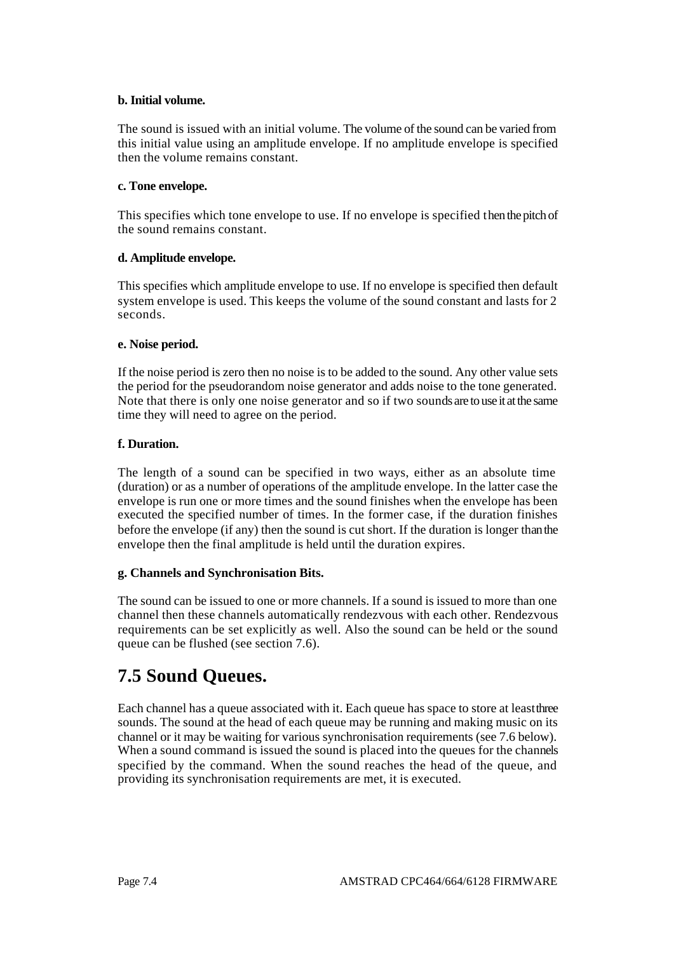#### **b. Initial volume.**

The sound is issued with an initial volume. The volume of the sound can be varied from this initial value using an amplitude envelope. If no amplitude envelope is specified then the volume remains constant.

#### **c. Tone envelope.**

This specifies which tone envelope to use. If no envelope is specified then the pitch of the sound remains constant.

#### **d. Amplitude envelope.**

This specifies which amplitude envelope to use. If no envelope is specified then default system envelope is used. This keeps the volume of the sound constant and lasts for 2 seconds.

#### **e. Noise period.**

If the noise period is zero then no noise is to be added to the sound. Any other value sets the period for the pseudorandom noise generator and adds noise to the tone generated. Note that there is only one noise generator and so if two sounds are to use it at the same time they will need to agree on the period.

#### **f. Duration.**

The length of a sound can be specified in two ways, either as an absolute time (duration) or as a number of operations of the amplitude envelope. In the latter case the envelope is run one or more times and the sound finishes when the envelope has been executed the specified number of times. In the former case, if the duration finishes before the envelope (if any) then the sound is cut short. If the duration is longer than the envelope then the final amplitude is held until the duration expires.

#### **g. Channels and Synchronisation Bits.**

The sound can be issued to one or more channels. If a sound is issued to more than one channel then these channels automatically rendezvous with each other. Rendezvous requirements can be set explicitly as well. Also the sound can be held or the sound queue can be flushed (see section 7.6).

### **7.5 Sound Queues.**

Each channel has a queue associated with it. Each queue has space to store at least three sounds. The sound at the head of each queue may be running and making music on its channel or it may be waiting for various synchronisation requirements (see 7.6 below). When a sound command is issued the sound is placed into the queues for the channels specified by the command. When the sound reaches the head of the queue, and providing its synchronisation requirements are met, it is executed.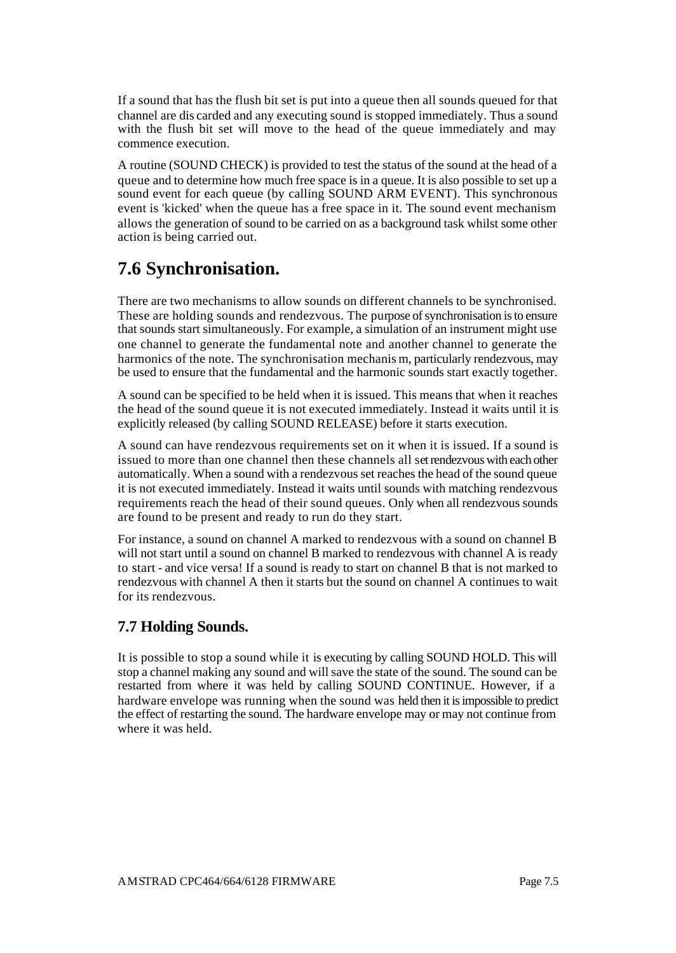If a sound that has the flush bit set is put into a queue then all sounds queued for that channel are dis carded and any executing sound is stopped immediately. Thus a sound with the flush bit set will move to the head of the queue immediately and may commence execution.

A routine (SOUND CHECK) is provided to test the status of the sound at the head of a queue and to determine how much free space is in a queue. It is also possible to set up a sound event for each queue (by calling SOUND ARM EVENT). This synchronous event is 'kicked' when the queue has a free space in it. The sound event mechanism allows the generation of sound to be carried on as a background task whilst some other action is being carried out.

## **7.6 Synchronisation.**

There are two mechanisms to allow sounds on different channels to be synchronised. These are holding sounds and rendezvous. The purpose of synchronisation is to ensure that sounds start simultaneously. For example, a simulation of an instrument might use one channel to generate the fundamental note and another channel to generate the harmonics of the note. The synchronisation mechanis m, particularly rendezvous, may be used to ensure that the fundamental and the harmonic sounds start exactly together.

A sound can be specified to be held when it is issued. This means that when it reaches the head of the sound queue it is not executed immediately. Instead it waits until it is explicitly released (by calling SOUND RELEASE) before it starts execution.

A sound can have rendezvous requirements set on it when it is issued. If a sound is issued to more than one channel then these channels all set rendezvous with each other automatically. When a sound with a rendezvous set reaches the head of the sound queue it is not executed immediately. Instead it waits until sounds with matching rendezvous requirements reach the head of their sound queues. Only when all rendezvous sounds are found to be present and ready to run do they start.

For instance, a sound on channel A marked to rendezvous with a sound on channel B will not start until a sound on channel B marked to rendezvous with channel A is ready to start - and vice versa! If a sound is ready to start on channel B that is not marked to rendezvous with channel A then it starts but the sound on channel A continues to wait for its rendezvous.

### **7.7 Holding Sounds.**

It is possible to stop a sound while it is executing by calling SOUND HOLD. This will stop a channel making any sound and will save the state of the sound. The sound can be restarted from where it was held by calling SOUND CONTINUE. However, if a hardware envelope was running when the sound was held then it is impossible to predict the effect of restarting the sound. The hardware envelope may or may not continue from where it was held.